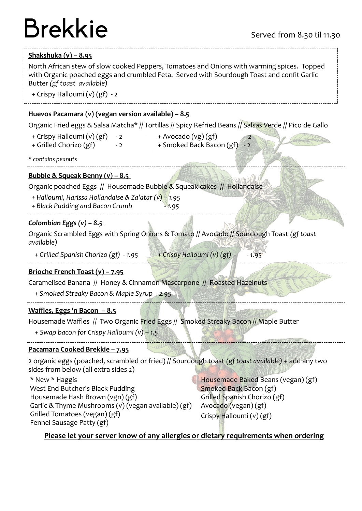## $\mathsf{Brekkie}$  Served from 8.30 til 11.30

#### **Shakshuka (v) – 8.95**

North African stew of slow cooked Peppers, Tomatoes and Onions with warming spices. Topped with Organic poached eggs and crumbled Feta. Served with Sourdough Toast and confit Garlic Butter *(gf toast available)*

+ Crispy Halloumi (v) (gf) - 2

#### **Huevos Pacamara (v) (vegan version available) – 8.5**

Organic Fried eggs & Salsa Matcha\* // Tortillas // Spicy Refried Beans // Salsas Verde // Pico de Gallo

- + Crispy Halloumi (v)  $(gf) 2$  + Avocado (vg)  $(gf)$ 
	-
- 
- + Grilled Chorizo (gf)  $-2$  + Smoked Back Bacon (gf)

*\* contains peanuts*

### **Bubble & Squeak Benny (v) – 8.5**

Organic poached Eggs // Housemade Bubble & Squeak cakes // Hollandaise

 *+ Halloumi, Harissa Hollandaise & Za'atar (v) - 1.95* 

 *+ Black Pudding and Bacon Crumb - 1.95*

#### *Colombian Eggs (v) – 8.5*

Organic Scrambled Eggs with Spring Onions & Tomato // Avocado // Sourdough Toast *(gf toast available)*

 *+ Grilled Spanish Chorizo (gf) - 1.95 + Crispy Halloumi (v) (gf) - - 1.95*

#### **Brioche French Toast (v) – 7.95**

Caramelised Banana // Honey & Cinnamon Mascarpone // Roasted Hazelnuts

 *+ Smoked Streaky Bacon & Maple Syrup - 2.95*

#### **Waffles, Eggs 'n Bacon – 8.5**

Housemade Waffles // Two Organic Fried Eggs // Smoked Streaky Bacon // Maple Butter

*+ Swap bacon for Crispy Halloumi (v) – 1.5*

#### **Pacamara Cooked Brekkie – 7.95**

2 organic eggs (poached, scrambled or fried) // Sourdough toast *(gf toast available)* + add any two sides from below (all extra sides 2)

\* New \* Haggis West End Butcher's Black Pudding Housemade Hash Brown (vgn) (gf) Garlic & Thyme Mushrooms (v) (vegan available) (gf) Grilled Tomatoes (vegan) (gf) Fennel Sausage Patty (gf)

Housemade Baked Beans (vegan) (gf) Smoked Back Bacon (gf) Grilled Spanish Chorizo (gf) Avocado (vegan) (gf) Crispy Halloumi (v) (gf)

### **Please let your server know of any allergies or dietary requirements when ordering**